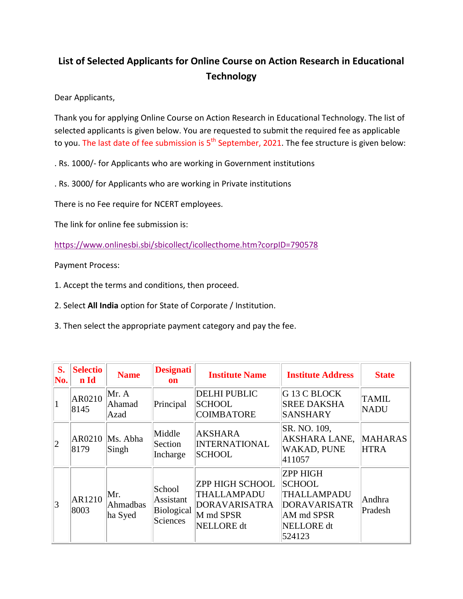## **List of Selected Applicants for Online Course on Action Research in Educational Technology**

Dear Applicants,

Thank you for applying Online Course on Action Research in Educational Technology. The list of selected applicants is given below. You are requested to submit the required fee as applicable to you. The last date of fee submission is  $5<sup>th</sup>$  September, 2021. The fee structure is given below:

. Rs. 1000/- for Applicants who are working in Government institutions

. Rs. 3000/ for Applicants who are working in Private institutions

There is no Fee require for NCERT employees.

The link for online fee submission is:

<https://www.onlinesbi.sbi/sbicollect/icollecthome.htm?corpID=790578>

Payment Process:

1. Accept the terms and conditions, then proceed.

2. Select **All India** option for State of Corporate / Institution.

3. Then select the appropriate payment category and pay the fee.

| S.<br>No.       | <b>Selectio</b><br>n Id | <b>Name</b>                | <b>Designati</b><br>on                               | <b>Institute Name</b>                                                                           | <b>Institute Address</b>                                                                                     | <b>State</b>                  |
|-----------------|-------------------------|----------------------------|------------------------------------------------------|-------------------------------------------------------------------------------------------------|--------------------------------------------------------------------------------------------------------------|-------------------------------|
|                 | AR0210<br>8145          | Mr. A<br>Ahamad<br>Azad    | Principal                                            | <b>DELHI PUBLIC</b><br><b>SCHOOL</b><br><b>COIMBATORE</b>                                       | G 13 C BLOCK<br><b>SREE DAKSHA</b><br><b>SANSHARY</b>                                                        | <b>TAMIL</b><br><b>NADU</b>   |
| $ 2\rangle$     | AR0210<br>8179          | Ms. Abha<br>Singh          | Middle<br>Section<br>Incharge                        | <b>AKSHARA</b><br><b>INTERNATIONAL</b><br><b>SCHOOL</b>                                         | SR. NO. 109,<br>AKSHARA LANE,<br><b>WAKAD, PUNE</b><br>411057                                                | <b>MAHARAS</b><br><b>HTRA</b> |
| $\vert 3 \vert$ | AR1210<br>8003          | Mr.<br>Ahmadbas<br>ha Syed | School<br>Assistant<br>Biological<br><b>Sciences</b> | <b>ZPP HIGH SCHOOL</b><br>THALLAMPADU<br><b>DORAVARISATRA</b><br>M md SPSR<br><b>NELLORE</b> dt | <b>ZPP HIGH</b><br><b>SCHOOL</b><br>THALLAMPADU<br><b>DORAVARISATR</b><br>AM md SPSR<br>NELLORE dt<br>524123 | Andhra<br>Pradesh             |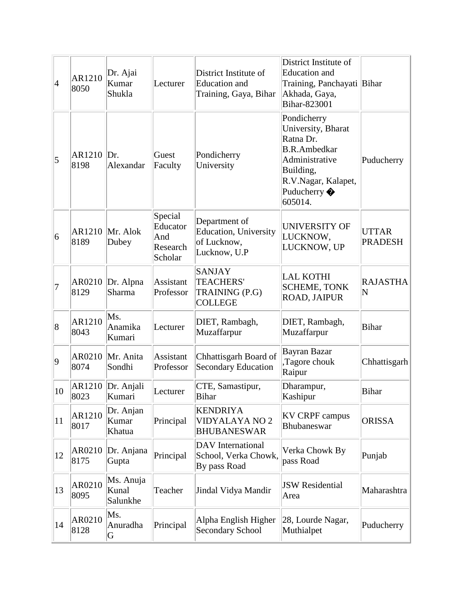| $\vert 4 \vert$ | AR1210<br>8050 | Dr. Ajai<br>Kumar<br>Shukla    | Lecturer                                          | District Institute of<br><b>Education</b> and<br>Training, Gaya, Bihar        | District Institute of<br><b>Education</b> and<br>Training, Panchayati Bihar<br>Akhada, Gaya,<br>Bihar-823001                                            |                                |
|-----------------|----------------|--------------------------------|---------------------------------------------------|-------------------------------------------------------------------------------|---------------------------------------------------------------------------------------------------------------------------------------------------------|--------------------------------|
| 5               | AR1210<br>8198 | Dr.<br>Alexandar               | Guest<br>Faculty                                  | Pondicherry<br>University                                                     | Pondicherry<br>University, Bharat<br>Ratna Dr.<br><b>B.R.Ambedkar</b><br>Administrative<br>Building,<br>R.V.Nagar, Kalapet,<br>Puducherry ��<br>605014. | Puducherry                     |
| $\overline{6}$  | AR1210<br>8189 | Mr. Alok<br>Dubey              | Special<br>Educator<br>And<br>Research<br>Scholar | Department of<br><b>Education</b> , University<br>of Lucknow,<br>Lucknow, U.P | <b>UNIVERSITY OF</b><br>LUCKNOW,<br>LUCKNOW, UP                                                                                                         | <b>UTTAR</b><br><b>PRADESH</b> |
| 17              | AR0210<br>8129 | Dr. Alpna<br><b>Sharma</b>     | Assistant<br>Professor                            | <b>SANJAY</b><br>TEACHERS'<br>TRAINING (P.G)<br><b>COLLEGE</b>                | <b>LAL KOTHI</b><br><b>SCHEME, TONK</b><br>ROAD, JAIPUR                                                                                                 | <b>RAJASTHA</b><br>N           |
| $\overline{8}$  | AR1210<br>8043 | Ms.<br>Anamika<br>Kumari       | Lecturer                                          | DIET, Rambagh,<br>Muzaffarpur                                                 | DIET, Rambagh,<br>Muzaffarpur                                                                                                                           | <b>Bihar</b>                   |
| $ 9\rangle$     | AR0210<br>8074 | Mr. Anita<br>Sondhi            | Assistant<br>Professor                            | Chhattisgarh Board of<br><b>Secondary Education</b>                           | Bayran Bazar<br>Tagore chouk<br>Raipur                                                                                                                  | Chhattisgarh                   |
| 10              | 8023           | AR1210 Dr. Anjali<br>Kumari    | Lecturer                                          | CTE, Samastipur,<br>Bihar                                                     | Dharampur,<br>Kashipur                                                                                                                                  | <b>Bihar</b>                   |
| 11              | AR1210<br>8017 | Dr. Anjan<br>Kumar<br>Khatua   | Principal                                         | <b>KENDRIYA</b><br><b>VIDYALAYA NO 2</b><br><b>BHUBANESWAR</b>                | <b>KV CRPF campus</b><br>Bhubaneswar                                                                                                                    | <b>ORISSA</b>                  |
| 12              | AR0210<br>8175 | Dr. Anjana<br>Gupta            | Principal                                         | DAV International<br>School, Verka Chowk,<br>By pass Road                     | Verka Chowk By<br>pass Road                                                                                                                             | Punjab                         |
| 13              | AR0210<br>8095 | Ms. Anuja<br>Kunal<br>Salunkhe | Teacher                                           | Jindal Vidya Mandir                                                           | <b>JSW</b> Residential<br>Area                                                                                                                          | Maharashtra                    |
| 14              | AR0210<br>8128 | Ms.<br>Anuradha<br>G           | Principal                                         | Alpha English Higher<br><b>Secondary School</b>                               | 28, Lourde Nagar,<br>Muthialpet                                                                                                                         | Puducherry                     |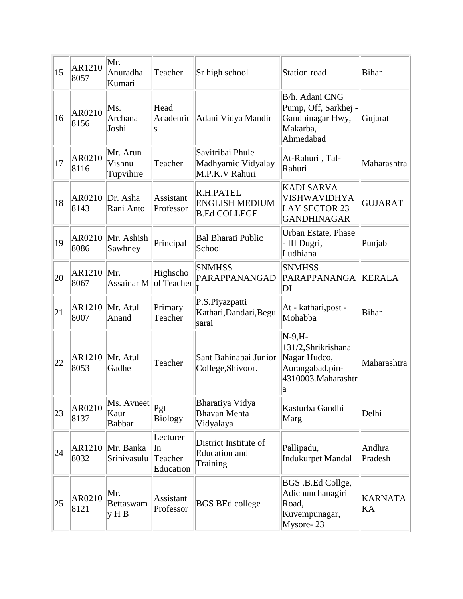| 15 | AR1210<br>8057 | Mr.<br>Anuradha<br>Kumari           | Teacher                                | Sr high school                                            | Station road                                                                                    | <b>Bihar</b>         |
|----|----------------|-------------------------------------|----------------------------------------|-----------------------------------------------------------|-------------------------------------------------------------------------------------------------|----------------------|
| 16 | AR0210<br>8156 | Ms.<br>Archana<br>Joshi             | Head<br>Academic<br>S                  | Adani Vidya Mandir                                        | B/h. Adani CNG<br>Pump, Off, Sarkhej -<br>Gandhinagar Hwy,<br>Makarba,<br>Ahmedabad             | Gujarat              |
| 17 | AR0210<br>8116 | Mr. Arun<br>Vishnu<br>Tupvihire     | Teacher                                | Savitribai Phule<br>Madhyamic Vidyalay<br>M.P.K.V Rahuri  | At-Rahuri, Tal-<br>Rahuri                                                                       | Maharashtra          |
| 18 | AR0210<br>8143 | Dr. Asha<br>Rani Anto               | Assistant<br>Professor                 | R.H.PATEL<br><b>ENGLISH MEDIUM</b><br><b>B.Ed COLLEGE</b> | <b>KADI SARVA</b><br><b>VISHWAVIDHYA</b><br><b>LAY SECTOR 23</b><br><b>GANDHINAGAR</b>          | <b>GUJARAT</b>       |
| 19 | AR0210<br>8086 | Mr. Ashish<br>Sawhney               | Principal                              | <b>Bal Bharati Public</b><br>School                       | Urban Estate, Phase<br>- III Dugri,<br>Ludhiana                                                 | Punjab               |
| 20 | AR1210<br>8067 | Mr.<br>Assainar M                   | Highscho<br>ol Teacher                 | <b>SNMHSS</b><br>PARAPPANANGAD                            | <b>SNMHSS</b><br>PARAPPANANGA<br>DI                                                             | <b>KERALA</b>        |
| 21 | AR1210<br>8007 | Mr. Atul<br>Anand                   | Primary<br>Teacher                     | P.S.Piyazpatti<br>Kathari, Dandari, Begu<br>sarai         | At - kathari, post -<br>Mohabba                                                                 | <b>Bihar</b>         |
| 22 | AR1210<br>8053 | Mr. Atul<br>Gadhe                   | Teacher                                | Sant Bahinabai Junior<br>College, Shivoor.                | $N-9, H-$<br>131/2, Shrikrishana<br>Nagar Hudco,<br>Aurangabad.pin-<br>4310003.Maharashtr<br>la | Maharashtra          |
| 23 | AR0210<br>8137 | Ms. Avneet<br>Kaur<br><b>Babbar</b> | Pgt<br><b>Biology</b>                  | Bharatiya Vidya<br><b>Bhavan Mehta</b><br>Vidyalaya       | Kasturba Gandhi<br>Marg                                                                         | Delhi                |
| 24 | AR1210<br>8032 | Mr. Banka<br>Srinivasulu            | Lecturer<br>In<br>Teacher<br>Education | District Institute of<br><b>Education</b> and<br>Training | Pallipadu,<br><b>Indukurpet Mandal</b>                                                          | Andhra<br>Pradesh    |
| 25 | AR0210<br>8121 | Mr.<br><b>Bettaswam</b><br>y H B    | Assistant<br>Professor                 | <b>BGS BEd college</b>                                    | BGS .B.Ed Collge,<br>Adichunchanagiri<br>Road,<br>Kuvempunagar,<br>Mysore-23                    | <b>KARNATA</b><br>KA |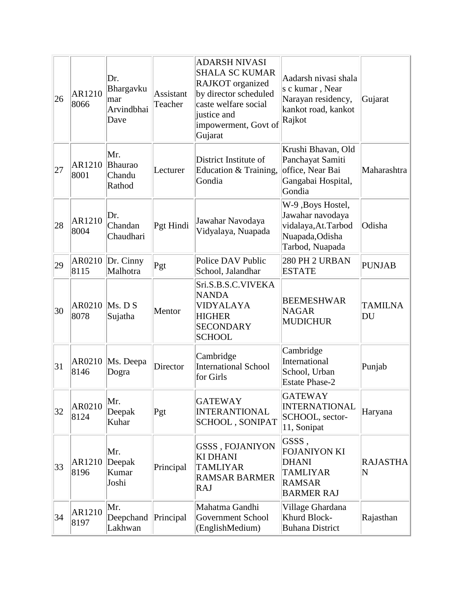| 26 | AR1210<br>8066 | Dr.<br>Bhargavku<br>mar<br>Arvindbhai<br>Dave | Assistant<br>Teacher | <b>ADARSH NIVASI</b><br><b>SHALA SC KUMAR</b><br><b>RAJKOT</b> organized<br>by director scheduled<br>caste welfare social<br>justice and<br>impowerment, Govt of<br>Gujarat | Aadarsh nivasi shala<br>s c kumar, Near<br>Narayan residency,<br>kankot road, kankot<br>Rajkot        | Gujarat              |
|----|----------------|-----------------------------------------------|----------------------|-----------------------------------------------------------------------------------------------------------------------------------------------------------------------------|-------------------------------------------------------------------------------------------------------|----------------------|
| 27 | AR1210<br>8001 | Mr.<br><b>Bhaurao</b><br>Chandu<br>Rathod     | Lecturer             | District Institute of<br>Education & Training,<br>Gondia                                                                                                                    | Krushi Bhavan, Old<br>Panchayat Samiti<br>office, Near Bai<br>Gangabai Hospital,<br>Gondia            | Maharashtra          |
| 28 | AR1210<br>8004 | Dr.<br>Chandan<br>Chaudhari                   | Pgt Hindi            | Jawahar Navodaya<br>Vidyalaya, Nuapada                                                                                                                                      | W-9, Boys Hostel,<br>Jawahar navodaya<br>vidalaya, At. Tarbod<br>Nuapada, Odisha<br>Tarbod, Nuapada   | Odisha               |
| 29 | AR0210<br>8115 | Dr. Cinny<br>Malhotra                         | Pgt                  | Police DAV Public<br>School, Jalandhar                                                                                                                                      | 280 PH 2 URBAN<br><b>ESTATE</b>                                                                       | <b>PUNJAB</b>        |
| 30 | AR0210<br>8078 | Ms. D S<br>Sujatha                            | Mentor               | Sri.S.B.S.C.VIVEKA<br><b>NANDA</b><br><b>VIDYALAYA</b><br><b>HIGHER</b><br><b>SECONDARY</b><br><b>SCHOOL</b>                                                                | <b>BEEMESHWAR</b><br><b>NAGAR</b><br><b>MUDICHUR</b>                                                  | <b>TAMILNA</b><br>DU |
| 31 | AR0210<br>8146 | Ms. Deepa<br>Dogra                            | Director             | Cambridge<br>International School<br>for Girls                                                                                                                              | Cambridge<br>International<br>School, Urban<br><b>Estate Phase-2</b>                                  | Punjab               |
| 32 | AR0210<br>8124 | Mr.<br>Deepak<br>Kuhar                        | Pgt                  | <b>GATEWAY</b><br><b>INTERANTIONAL</b><br><b>SCHOOL, SONIPAT</b>                                                                                                            | <b>GATEWAY</b><br><b>INTERNATIONAL</b><br>SCHOOL, sector-<br>11, Sonipat                              | Haryana              |
| 33 | AR1210<br>8196 | Mr.<br>Deepak<br>Kumar<br>Joshi               | Principal            | GSSS, FOJANIYON<br><b>KI DHANI</b><br><b>TAMLIYAR</b><br><b>RAMSAR BARMER</b><br>RAJ                                                                                        | GSSS,<br><b>FOJANIYON KI</b><br><b>DHANI</b><br><b>TAMLIYAR</b><br><b>RAMSAR</b><br><b>BARMER RAJ</b> | <b>RAJASTHA</b><br>N |
| 34 | AR1210<br>8197 | Mr.<br>Deepchand<br>Lakhwan                   | Principal            | Mahatma Gandhi<br>Government School<br>(EnglishMedium)                                                                                                                      | Village Ghardana<br>Khurd Block-<br><b>Buhana District</b>                                            | Rajasthan            |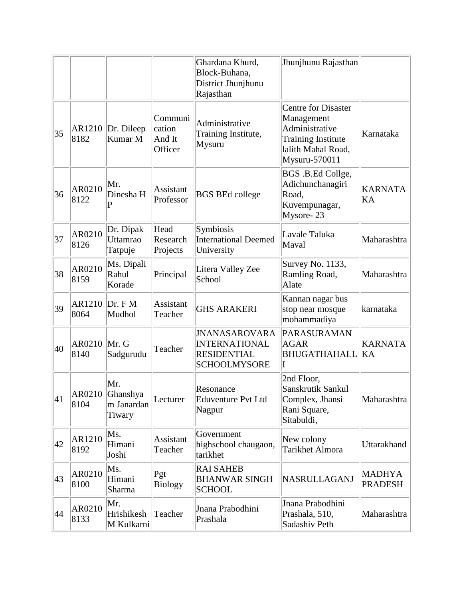|    |                |                                                |                                        | Ghardana Khurd,<br>Block-Buhana,<br>District Jhunjhunu<br>Rajasthan                | Jhunjhunu Rajasthan                                                                                                            |                                 |
|----|----------------|------------------------------------------------|----------------------------------------|------------------------------------------------------------------------------------|--------------------------------------------------------------------------------------------------------------------------------|---------------------------------|
| 35 | AR1210<br>8182 | Dr. Dileep<br>Kumar M                          | Communi<br>cation<br>And It<br>Officer | Administrative<br>Training Institute,<br>Mysuru                                    | <b>Centre for Disaster</b><br>Management<br>Administrative<br><b>Training Institute</b><br>lalith Mahal Road,<br>Mysuru-570011 | Karnataka                       |
| 36 | AR0210<br>8122 | Mr.<br>Dinesha H<br>P                          | Assistant<br>Professor                 | <b>BGS BEd college</b>                                                             | BGS .B.Ed Collge,<br>Adichunchanagiri<br>Road,<br>Kuvempunagar,<br>Mysore-23                                                   | <b>KARNATA</b><br>KA            |
| 37 | AR0210<br>8126 | Dr. Dipak<br>Uttamrao<br>Tatpuje               | Head<br>Research<br>Projects           | Symbiosis<br><b>International Deemed</b><br>University                             | Lavale Taluka<br>Maval                                                                                                         | Maharashtra                     |
| 38 | AR0210<br>8159 | Ms. Dipali<br>Rahul<br>Korade                  | Principal                              | Litera Valley Zee<br>School                                                        | Survey No. 1133,<br>Ramling Road,<br>Alate                                                                                     | Maharashtra                     |
| 39 | AR1210<br>8064 | Dr. F M<br>Mudhol                              | Assistant<br>Teacher                   | <b>GHS ARAKERI</b>                                                                 | Kannan nagar bus<br>stop near mosque<br>mohammadiya                                                                            | karnataka                       |
| 40 | AR0210<br>8140 | Mr. G<br>Sadgurudu                             | Teacher                                | <b>JNANASAROVARA</b><br>INTERNATIONAL<br><b>RESIDENTIAL</b><br><b>SCHOOLMYSORE</b> | PARASURAMAN<br><b>AGAR</b><br><b>BHUGATHAHALL</b><br>T                                                                         | <b>KARNATA</b><br>KA            |
| 41 | 8104           | Mr.<br>AR0210 Ghanshya<br>m Janardan<br>Tiwary | Lecturer                               | Resonance<br><b>Eduventure Pvt Ltd</b><br>Nagpur                                   | 2nd Floor,<br>Sanskrutik Sankul<br>Complex, Jhansi<br>Rani Square,<br>Sitabuldi,                                               | Maharashtra                     |
| 42 | AR1210<br>8192 | Ms.<br>Himani<br>Joshi                         | <b>Assistant</b><br>Teacher            | Government<br>highschool chaugaon,<br>tarikhet                                     | New colony<br><b>Tarikhet Almora</b>                                                                                           | <b>Uttarakhand</b>              |
| 43 | AR0210<br>8100 | Ms.<br>Himani<br>Sharma                        | Pgt<br><b>Biology</b>                  | <b>RAI SAHEB</b><br><b>BHANWAR SINGH</b><br><b>SCHOOL</b>                          | NASRULLAGANJ                                                                                                                   | <b>MADHYA</b><br><b>PRADESH</b> |
| 44 | AR0210<br>8133 | Mr.<br>Hrishikesh<br>M Kulkarni                | Teacher                                | Jnana Prabodhini<br>Prashala                                                       | Jnana Prabodhini<br>Prashala, 510,<br>Sadashiv Peth                                                                            | Maharashtra                     |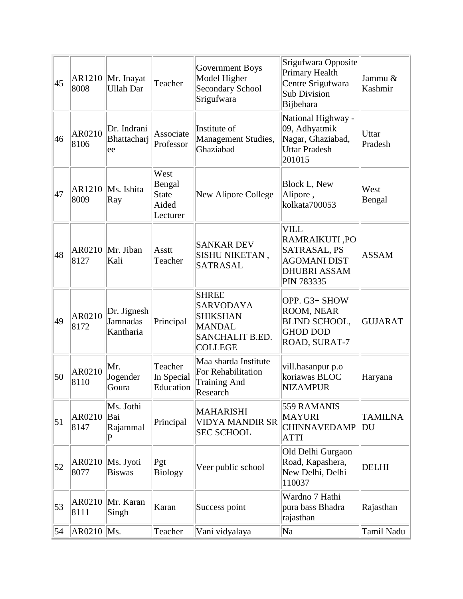| 45 | AR1210<br>8008 | Mr. Inayat<br><b>Ullah Dar</b>       | Teacher                                             | Government Boys<br>Model Higher<br>Secondary School<br>Srigufwara                                         | Srigufwara Opposite<br>Primary Health<br>Centre Srigufwara<br><b>Sub Division</b><br>Bijbehara                  | Jammu &<br>Kashmir   |
|----|----------------|--------------------------------------|-----------------------------------------------------|-----------------------------------------------------------------------------------------------------------|-----------------------------------------------------------------------------------------------------------------|----------------------|
| 46 | AR0210<br>8106 | Dr. Indrani<br>Bhattacharj<br>ee     | Associate<br>Professor                              | Institute of<br>Management Studies,<br>Ghaziabad                                                          | National Highway -<br>09, Adhyatmik<br>Nagar, Ghaziabad,<br><b>Uttar Pradesh</b><br>201015                      | Uttar<br>Pradesh     |
| 47 | AR1210<br>8009 | Ms. Ishita<br>Ray                    | West<br>Bengal<br><b>State</b><br>Aided<br>Lecturer | New Alipore College                                                                                       | <b>Block L, New</b><br>Alipore,<br>kolkata700053                                                                | West<br>Bengal       |
| 48 | AR0210<br>8127 | Mr. Jiban<br>Kali                    | Asstt<br>Teacher                                    | <b>SANKAR DEV</b><br>SISHU NIKETAN,<br><b>SATRASAL</b>                                                    | <b>VILL</b><br><b>RAMRAIKUTI,PO</b><br>SATRASAL, PS<br><b>AGOMANI DIST</b><br><b>DHUBRI ASSAM</b><br>PIN 783335 | <b>ASSAM</b>         |
| 49 | AR0210<br>8172 | Dr. Jignesh<br>Jamnadas<br>Kantharia | Principal                                           | <b>SHREE</b><br><b>SARVODAYA</b><br><b>SHIKSHAN</b><br><b>MANDAL</b><br>SANCHALIT B.ED.<br><b>COLLEGE</b> | OPP. G3+ SHOW<br>ROOM, NEAR<br><b>BLIND SCHOOL,</b><br><b>GHOD DOD</b><br>ROAD, SURAT-7                         | <b>GUJARAT</b>       |
| 50 | AR0210<br>8110 | Mr.<br>Jogender<br>Goura             | Teacher<br>In Special<br>Education                  | Maa sharda Institute<br>For Rehabilitation<br><b>Training And</b><br>Research                             | vill.hasanpur p.o<br>koriawas BLOC<br><b>NIZAMPUR</b>                                                           | Haryana              |
| 51 | AR0210<br>8147 | Ms. Jothi<br>Bai<br>Rajammal<br>P    | Principal                                           | <b>MAHARISHI</b><br><b>VIDYA MANDIR SR</b><br><b>SEC SCHOOL</b>                                           | 559 RAMANIS<br><b>MAYURI</b><br><b>CHINNAVEDAMP</b><br><b>ATTI</b>                                              | <b>TAMILNA</b><br>DU |
| 52 | AR0210<br>8077 | Ms. Jyoti<br><b>Biswas</b>           | Pgt<br><b>Biology</b>                               | Veer public school                                                                                        | Old Delhi Gurgaon<br>Road, Kapashera,<br>New Delhi, Delhi<br>110037                                             | <b>DELHI</b>         |
| 53 | AR0210<br>8111 | Mr. Karan<br>Singh                   | Karan                                               | Success point                                                                                             | Wardno 7 Hathi<br>pura bass Bhadra<br>rajasthan                                                                 | Rajasthan            |
| 54 | AR0210         | Ms.                                  | Teacher                                             | Vani vidyalaya                                                                                            | Na                                                                                                              | Tamil Nadu           |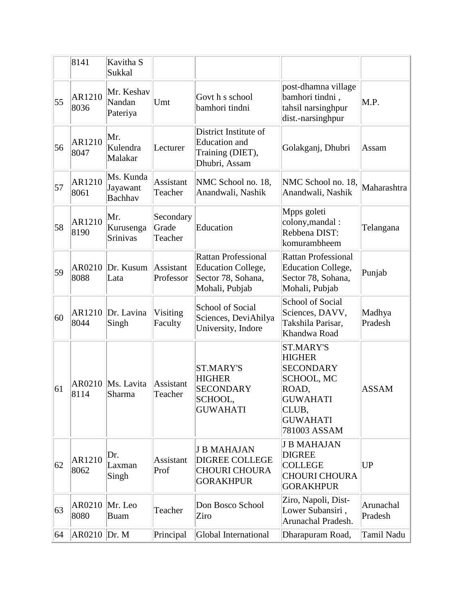|    | 8141           | Kavitha S<br>Sukkal                     |                               |                                                                                          |                                                                                                                                                    |                      |
|----|----------------|-----------------------------------------|-------------------------------|------------------------------------------------------------------------------------------|----------------------------------------------------------------------------------------------------------------------------------------------------|----------------------|
| 55 | AR1210<br>8036 | Mr. Keshav<br>Nandan<br>Pateriya        | Umt                           | Govt h s school<br>bamhori tindni                                                        | post-dhamna village<br>bamhori tindni,<br>tahsil narsinghpur<br>dist.-narsinghpur                                                                  | M.P.                 |
| 56 | AR1210<br>8047 | Mr.<br>Kulendra<br>Malakar              | Lecturer                      | District Institute of<br>Education and<br>Training (DIET),<br>Dhubri, Assam              | Golakganj, Dhubri                                                                                                                                  | Assam                |
| 57 | AR1210<br>8061 | Ms. Kunda<br>Jayawant<br><b>Bachhav</b> | Assistant<br>Teacher          | NMC School no. 18,<br>Anandwali, Nashik                                                  | NMC School no. 18,<br>Anandwali, Nashik                                                                                                            | Maharashtra          |
| 58 | AR1210<br>8190 | Mr.<br>Kurusenga<br><b>Srinivas</b>     | Secondary<br>Grade<br>Teacher | Education                                                                                | Mpps goleti<br>colony, mandal:<br>Rebbena DIST:<br>komurambheem                                                                                    | Telangana            |
| 59 | AR0210<br>8088 | Dr. Kusum<br>Lata                       | Assistant<br>Professor        | <b>Rattan Professional</b><br>Education College,<br>Sector 78, Sohana,<br>Mohali, Pubjab | <b>Rattan Professional</b><br><b>Education College,</b><br>Sector 78, Sohana,<br>Mohali, Pubjab                                                    | Punjab               |
| 60 | AR1210<br>8044 | Dr. Lavina<br>Singh                     | Visiting<br>Faculty           | School of Social<br>Sciences, DeviAhilya<br>University, Indore                           | School of Social<br>Sciences, DAVV,<br>Takshila Parisar,<br>Khandwa Road                                                                           | Madhya<br>Pradesh    |
| 61 | AR0210<br>8114 | Ms. Lavita<br>Sharma                    | Assistant<br>Teacher          | <b>ST.MARY'S</b><br><b>HIGHER</b><br><b>SECONDARY</b><br>SCHOOL,<br><b>GUWAHATI</b>      | <b>ST.MARY'S</b><br><b>HIGHER</b><br><b>SECONDARY</b><br><b>SCHOOL, MC</b><br>ROAD,<br><b>GUWAHATI</b><br>CLUB,<br><b>GUWAHATI</b><br>781003 ASSAM | <b>ASSAM</b>         |
| 62 | AR1210<br>8062 | Dr.<br>Laxman<br>Singh                  | Assistant<br>Prof             | <b>J B MAHAJAN</b><br><b>DIGREE COLLEGE</b><br><b>CHOURI CHOURA</b><br><b>GORAKHPUR</b>  | <b>J B MAHAJAN</b><br><b>DIGREE</b><br><b>COLLEGE</b><br><b>CHOURI CHOURA</b><br><b>GORAKHPUR</b>                                                  | <b>UP</b>            |
| 63 | AR0210<br>8080 | Mr. Leo<br>Buam                         | Teacher                       | Don Bosco School<br>Ziro                                                                 | Ziro, Napoli, Dist-<br>Lower Subansiri,<br>Arunachal Pradesh.                                                                                      | Arunachal<br>Pradesh |
| 64 | $AR0210$ Dr. M |                                         | Principal                     | Global International                                                                     | Dharapuram Road,                                                                                                                                   | Tamil Nadu           |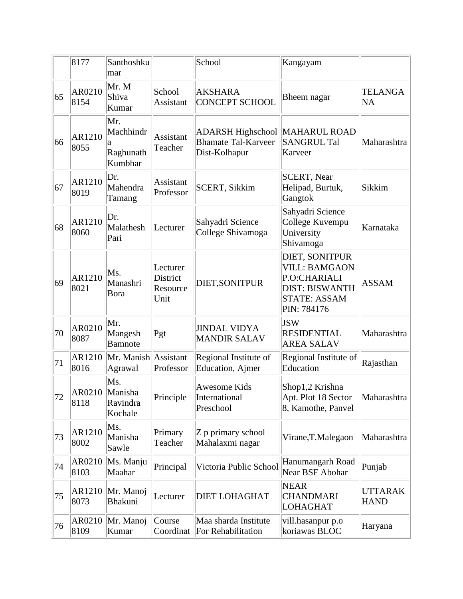|    | 8177           | Santhoshku<br>mar                             |                                          | School                                                                  | Kangayam                                                                                                              |                               |
|----|----------------|-----------------------------------------------|------------------------------------------|-------------------------------------------------------------------------|-----------------------------------------------------------------------------------------------------------------------|-------------------------------|
| 65 | AR0210<br>8154 | Mr. M<br>Shiva<br>Kumar                       | School<br>Assistant                      | <b>AKSHARA</b><br><b>CONCEPT SCHOOL</b>                                 | Bheem nagar                                                                                                           | <b>TELANGA</b><br><b>NA</b>   |
| 66 | AR1210<br>8055 | Mr.<br>Machhindr<br>a<br>Raghunath<br>Kumbhar | <b>Assistant</b><br>Teacher              | <b>ADARSH Highschool</b><br><b>Bhamate Tal-Karveer</b><br>Dist-Kolhapur | <b>MAHARUL ROAD</b><br><b>SANGRUL Tal</b><br>Karveer                                                                  | Maharashtra                   |
| 67 | AR1210<br>8019 | Dr.<br>Mahendra<br>Tamang                     | Assistant<br>Professor                   | <b>SCERT, Sikkim</b>                                                    | <b>SCERT, Near</b><br>Helipad, Burtuk,<br>Gangtok                                                                     | Sikkim                        |
| 68 | AR1210<br>8060 | Dr.<br>Malathesh<br>Pari                      | Lecturer                                 | Sahyadri Science<br>College Shivamoga                                   | Sahyadri Science<br>College Kuvempu<br>University<br>Shivamoga                                                        | Karnataka                     |
| 69 | AR1210<br>8021 | Ms.<br>Manashri<br>Bora                       | Lecturer<br>District<br>Resource<br>Unit | DIET, SONITPUR                                                          | DIET, SONITPUR<br><b>VILL: BAMGAON</b><br>P.O:CHARIALI<br><b>DIST: BISWANTH</b><br><b>STATE: ASSAM</b><br>PIN: 784176 | <b>ASSAM</b>                  |
| 70 | AR0210<br>8087 | Mr.<br>Mangesh<br><b>Bamnote</b>              | Pgt                                      | <b>JINDAL VIDYA</b><br><b>MANDIR SALAV</b>                              | <b>JSW</b><br><b>RESIDENTIAL</b><br><b>AREA SALAV</b>                                                                 | Maharashtra                   |
| 71 | AR1210<br>8016 | Mr. Manish Assistant<br>Agrawal               | Professor                                | Regional Institute of<br><b>Education</b> , Ajmer                       | Regional Institute of<br>Education                                                                                    | Rajasthan                     |
| 72 | 8118           | Ms.<br>AR0210 Manisha<br>Ravindra<br>Kochale  | Principle                                | Awesome Kids<br>International<br>Preschool                              | Shop1,2 Krishna<br>Apt. Plot 18 Sector<br>8, Kamothe, Panvel                                                          | Maharashtra                   |
| 73 | AR1210<br>8002 | Ms.<br>Manisha<br>Sawle                       | Primary<br>Teacher                       | Z p primary school<br>Mahalaxmi nagar                                   | Virane, T. Malegaon                                                                                                   | Maharashtra                   |
| 74 | AR0210<br>8103 | Ms. Manju<br>Maahar                           | Principal                                | Victoria Public School                                                  | Hanumangarh Road<br>Near BSF Abohar                                                                                   | Punjab                        |
| 75 | AR1210<br>8073 | Mr. Manoj<br><b>Bhakuni</b>                   | Lecturer                                 | <b>DIET LOHAGHAT</b>                                                    | <b>NEAR</b><br><b>CHANDMARI</b><br><b>LOHAGHAT</b>                                                                    | <b>UTTARAK</b><br><b>HAND</b> |
| 76 | AR0210<br>8109 | Mr. Manoj<br>Kumar                            | Course<br>Coordinat                      | Maa sharda Institute<br>For Rehabilitation                              | vill.hasanpur p.o<br>koriawas BLOC                                                                                    | Haryana                       |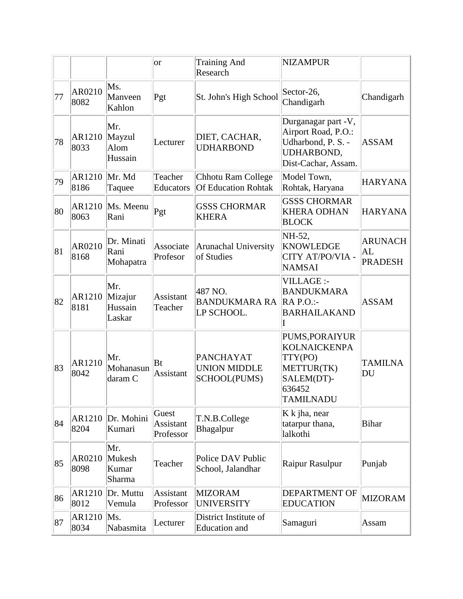|    |                |                                     | <b>or</b>                       | <b>Training And</b><br>Research                         | <b>NIZAMPUR</b>                                                                                            |                                        |
|----|----------------|-------------------------------------|---------------------------------|---------------------------------------------------------|------------------------------------------------------------------------------------------------------------|----------------------------------------|
| 77 | AR0210<br>8082 | Ms.<br>Manveen<br>Kahlon            | Pgt                             | St. John's High School                                  | Sector-26,<br>Chandigarh                                                                                   | Chandigarh                             |
| 78 | AR1210<br>8033 | Mr.<br>Mayzul<br>Alom<br>Hussain    | Lecturer                        | DIET, CACHAR,<br><b>UDHARBOND</b>                       | Durganagar part -V,<br>Airport Road, P.O.:<br>Udharbond, P. S. -<br>UDHARBOND,<br>Dist-Cachar, Assam.      | <b>ASSAM</b>                           |
| 79 | AR1210<br>8186 | Mr. Md<br>Taquee                    | Teacher<br>Educators            | Chhotu Ram College<br><b>Of Education Rohtak</b>        | Model Town,<br>Rohtak, Haryana                                                                             | <b>HARYANA</b>                         |
| 80 | AR1210<br>8063 | Ms. Meenu<br>Rani                   | Pgt                             | <b>GSSS CHORMAR</b><br><b>KHERA</b>                     | <b>GSSS CHORMAR</b><br><b>KHERA ODHAN</b><br><b>BLOCK</b>                                                  | <b>HARYANA</b>                         |
| 81 | AR0210<br>8168 | Dr. Minati<br>Rani<br>Mohapatra     | Associate<br>Profesor           | Arunachal University<br>of Studies                      | NH-52,<br><b>KNOWLEDGE</b><br>CITY AT/PO/VIA -<br><b>NAMSAI</b>                                            | <b>ARUNACH</b><br>AL<br><b>PRADESH</b> |
| 82 | AR1210<br>8181 | Mr.<br>Mizajur<br>Hussain<br>Laskar | Assistant<br>Teacher            | 487 NO.<br><b>BANDUKMARA RA</b><br>LP SCHOOL.           | VILLAGE :-<br><b>BANDUKMARA</b><br>$RA$ P.O.:-<br><b>BARHAILAKAND</b>                                      | <b>ASSAM</b>                           |
| 83 | AR1210<br>8042 | Mr.<br>Mohanasun<br>daram C         | Bt<br>Assistant                 | <b>PANCHAYAT</b><br><b>UNION MIDDLE</b><br>SCHOOL(PUMS) | PUMS, PORAIYUR<br><b>KOLNAICKENPA</b><br>TTY(PO)<br>METTUR(TK)<br>SALEM(DT)-<br>636452<br><b>TAMILNADU</b> | <b>TAMILNA</b><br>DU                   |
| 84 | AR1210<br>8204 | Dr. Mohini<br>Kumari                | Guest<br>Assistant<br>Professor | T.N.B.College<br>Bhagalpur                              | K k jha, near<br>tatarpur thana,<br>lalkothi                                                               | <b>Bihar</b>                           |
| 85 | AR0210<br>8098 | Mr.<br>Mukesh<br>Kumar<br>Sharma    | Teacher                         | Police DAV Public<br>School, Jalandhar                  | Raipur Rasulpur                                                                                            | Punjab                                 |
| 86 | AR1210<br>8012 | Dr. Muttu<br>Vemula                 | Assistant<br>Professor          | <b>MIZORAM</b><br><b>UNIVERSITY</b>                     | <b>DEPARTMENT OF</b><br><b>EDUCATION</b>                                                                   | <b>MIZORAM</b>                         |
| 87 | AR1210<br>8034 | Ms.<br>Nabasmita                    | Lecturer                        | District Institute of<br><b>Education</b> and           | Samaguri                                                                                                   | Assam                                  |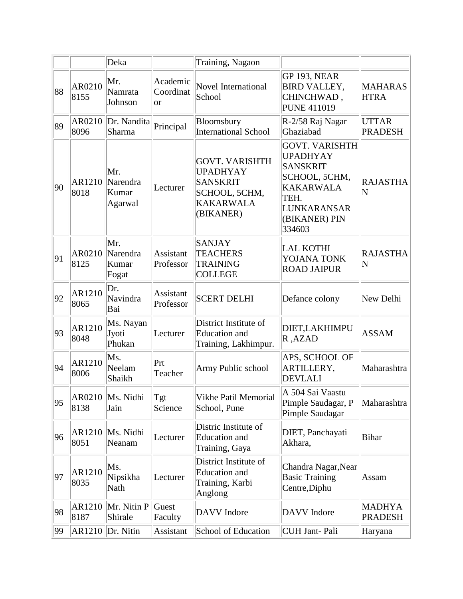|    |                | Deka                                |                              | Training, Nagaon                                                                                              |                                                                                                                                                    |                                 |
|----|----------------|-------------------------------------|------------------------------|---------------------------------------------------------------------------------------------------------------|----------------------------------------------------------------------------------------------------------------------------------------------------|---------------------------------|
| 88 | AR0210<br>8155 | Mr.<br>Namrata<br>Johnson           | Academic<br>Coordinat<br> or | <b>Novel International</b><br>School                                                                          | <b>GP 193, NEAR</b><br><b>BIRD VALLEY,</b><br>CHINCHWAD,<br><b>PUNE 411019</b>                                                                     | <b>MAHARAS</b><br><b>HTRA</b>   |
| 89 | AR0210<br>8096 | Dr. Nandita<br>Sharma               | Principal                    | Bloomsbury<br><b>International School</b>                                                                     | R-2/58 Raj Nagar<br>Ghaziabad                                                                                                                      | <b>UTTAR</b><br><b>PRADESH</b>  |
| 90 | AR1210<br>8018 | Mr.<br>Narendra<br>Kumar<br>Agarwal | Lecturer                     | <b>GOVT. VARISHTH</b><br><b>UPADHYAY</b><br><b>SANSKRIT</b><br>SCHOOL, 5CHM,<br><b>KAKARWALA</b><br>(BIKANER) | <b>GOVT. VARISHTH</b><br><b>UPADHYAY</b><br><b>SANSKRIT</b><br>SCHOOL, 5CHM,<br><b>KAKARWALA</b><br>TEH.<br>LUNKARANSAR<br>(BIKANER) PIN<br>334603 | <b>RAJASTHA</b><br>N            |
| 91 | AR0210<br>8125 | Mr.<br>Narendra<br>Kumar<br>Fogat   | Assistant<br>Professor       | <b>SANJAY</b><br><b>TEACHERS</b><br><b>TRAINING</b><br><b>COLLEGE</b>                                         | <b>LAL KOTHI</b><br>YOJANA TONK<br><b>ROAD JAIPUR</b>                                                                                              | <b>RAJASTHA</b><br>N            |
| 92 | AR1210<br>8065 | Dr.<br>Navindra<br>Bai              | Assistant<br>Professor       | <b>SCERT DELHI</b>                                                                                            | Defance colony                                                                                                                                     | New Delhi                       |
| 93 | AR1210<br>8048 | Ms. Nayan<br>Jyoti<br>Phukan        | Lecturer                     | District Institute of<br><b>Education</b> and<br>Training, Lakhimpur.                                         | DIET, LAKHIMPU<br>R, AZAD                                                                                                                          | <b>ASSAM</b>                    |
| 94 | AR1210<br>8006 | Ms.<br>Neelam<br>Shaikh             | Prt<br>Teacher               | Army Public school                                                                                            | APS, SCHOOL OF<br>ARTILLERY,<br><b>DEVLALI</b>                                                                                                     | Maharashtra                     |
| 95 | AR0210<br>8138 | Ms. Nidhi<br>Jain                   | Tgt<br>Science               | Vikhe Patil Memorial<br>School, Pune                                                                          | A 504 Sai Vaastu<br>Pimple Saudagar, P<br>Pimple Saudagar                                                                                          | Maharashtra                     |
| 96 | AR1210<br>8051 | Ms. Nidhi<br>Neanam                 | Lecturer                     | Distric Institute of<br><b>Education</b> and<br>Training, Gaya                                                | DIET, Panchayati<br>Akhara,                                                                                                                        | <b>Bihar</b>                    |
| 97 | AR1210<br>8035 | Ms.<br>Nipsikha<br>Nath             | Lecturer                     | District Institute of<br><b>Education</b> and<br>Training, Karbi<br>Anglong                                   | Chandra Nagar, Near<br><b>Basic Training</b><br>Centre, Diphu                                                                                      | Assam                           |
| 98 | AR1210<br>8187 | Mr. Nitin P<br>Shirale              | Guest<br>Faculty             | <b>DAVV</b> Indore                                                                                            | DAVV Indore                                                                                                                                        | <b>MADHYA</b><br><b>PRADESH</b> |
| 99 | AR1210         | Dr. Nitin                           | Assistant                    | School of Education                                                                                           | <b>CUH Jant-Pali</b>                                                                                                                               | Haryana                         |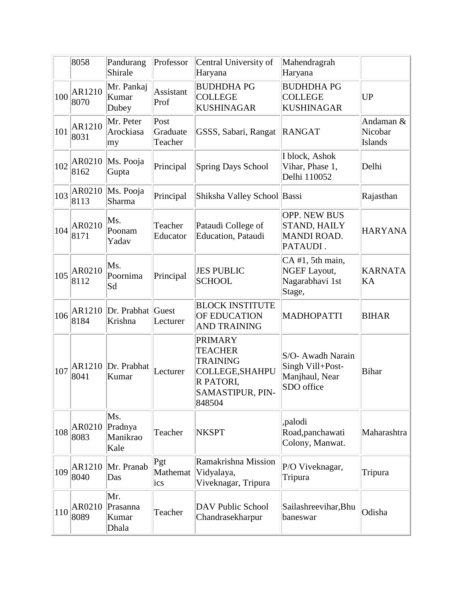|     | 8058                   | Pandurang<br>Shirale               | Professor                   | Central University of<br>Haryana                                                                                         | Mahendragrah<br>Haryana                                                      |                                 |
|-----|------------------------|------------------------------------|-----------------------------|--------------------------------------------------------------------------------------------------------------------------|------------------------------------------------------------------------------|---------------------------------|
| 100 | AR1210<br>8070         | Mr. Pankaj<br>Kumar<br>Dubey       | Assistant<br>Prof           | <b>BUDHDHAPG</b><br><b>COLLEGE</b><br><b>KUSHINAGAR</b>                                                                  | <b>BUDHDHAPG</b><br><b>COLLEGE</b><br><b>KUSHINAGAR</b>                      | <b>UP</b>                       |
| 101 | AR1210<br>8031         | Mr. Peter<br>Arockiasa<br>my       | Post<br>Graduate<br>Teacher | GSSS, Sabari, Rangat                                                                                                     | RANGAT                                                                       | Andaman &<br>Nicobar<br>Islands |
| 102 | AR0210<br>8162         | Ms. Pooja<br>Gupta                 | Principal                   | <b>Spring Days School</b>                                                                                                | I block, Ashok<br>Vihar, Phase 1,<br>Delhi 110052                            | Delhi                           |
| 103 | AR0210<br>8113         | Ms. Pooja<br>Sharma                | Principal                   | Shiksha Valley School Bassi                                                                                              |                                                                              | Rajasthan                       |
| 104 | AR0210<br>8171         | Ms.<br>Poonam<br>Yadav             | Teacher<br>Educator         | Pataudi College of<br>Education, Pataudi                                                                                 | <b>OPP. NEW BUS</b><br><b>STAND, HAILY</b><br><b>MANDI ROAD.</b><br>PATAUDI. | <b>HARYANA</b>                  |
| 105 | AR0210<br>8112         | Ms.<br>Poornima<br>Sd              | Principal                   | <b>JES PUBLIC</b><br><b>SCHOOL</b>                                                                                       | CA #1, 5th main,<br><b>NGEF Layout,</b><br>Nagarabhavi 1st<br>Stage,         | <b>KARNATA</b><br>KA            |
| 106 | AR1210<br>8184         | Dr. Prabhat Guest<br>Krishna       | Lecturer                    | <b>BLOCK INSTITUTE</b><br>OF EDUCATION<br><b>AND TRAINING</b>                                                            | <b>MADHOPATTI</b>                                                            | <b>BIHAR</b>                    |
| 107 | AR1210<br>8041         | Dr. Prabhat<br>Kumar               | Lecturer                    | <b>PRIMARY</b><br><b>TEACHER</b><br><b>TRAINING</b><br>COLLEGE, SHAHPU<br>R PATORI,<br><b>SAMASTIPUR, PIN-</b><br>848504 | S/O- Awadh Narain<br>Singh Vill+Post-<br>Manjhaul, Near<br>SDO office        | <b>Bihar</b>                    |
|     | $108$ $AR0210$<br>8083 | Ms.<br>Pradnya<br>Manikrao<br>Kale | Teacher                     | <b>NKSPT</b>                                                                                                             | ,palodi<br>Road, panchawati<br>Colony, Manwat.                               | Maharashtra                     |
|     | $109$ $AR1210$<br>8040 | Mr. Pranab<br>Das                  | Pgt<br>Mathemat<br>ics      | Ramakrishna Mission<br>Vidyalaya,<br>Viveknagar, Tripura                                                                 | P/O Viveknagar,<br>Tripura                                                   | Tripura                         |
| 110 | AR0210<br>8089         | Mr.<br>Prasanna<br>Kumar<br>Dhala  | Teacher                     | DAV Public School<br>Chandrasekharpur                                                                                    | Sailashreevihar, Bhu<br>baneswar                                             | Odisha                          |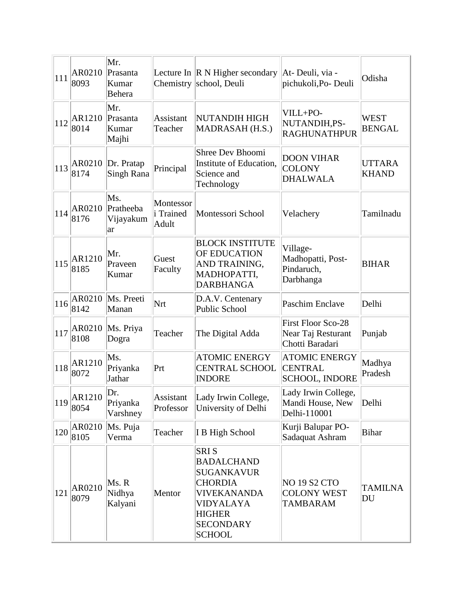| 111 | AR0210<br>8093                           | Mr.<br>Prasanta<br>Kumar<br>Behera  |                                        | Lecture In $\ R N$ Higher secondary<br>Chemistry school, Deuli                                                                                                   | At-Deuli, via -<br>pichukoli, Po-Deuli                             | Odisha                        |
|-----|------------------------------------------|-------------------------------------|----------------------------------------|------------------------------------------------------------------------------------------------------------------------------------------------------------------|--------------------------------------------------------------------|-------------------------------|
| 112 | AR1210<br>8014                           | Mr.<br>Prasanta<br>Kumar<br>Majhi   | Assistant<br>Teacher                   | NUTANDIH HIGH<br>MADRASAH (H.S.)                                                                                                                                 | VILL+PO-<br>NUTANDIH,PS-<br><b>RAGHUNATHPUR</b>                    | WEST<br><b>BENGAL</b>         |
| 113 | AR0210<br>8174                           | Dr. Pratap<br>Singh Rana            | Principal                              | Shree Dev Bhoomi<br>Institute of Education,<br>Science and<br>Technology                                                                                         | <b>DOON VIHAR</b><br><b>COLONY</b><br><b>DHALWALA</b>              | <b>UTTARA</b><br><b>KHAND</b> |
| 114 | AR0210<br>8176                           | Ms.<br>Pratheeba<br>Vijayakum<br>ar | Montessor<br><i>i</i> Trained<br>Adult | Montessori School                                                                                                                                                | Velachery                                                          | Tamilnadu                     |
|     | $\vert_{115}\vert_{\sim}$ AR1210<br>8185 | Mr.<br>Praveen<br>Kumar             | Guest<br>Faculty                       | <b>BLOCK INSTITUTE</b><br>OF EDUCATION<br>AND TRAINING,<br>MADHOPATTI,<br><b>DARBHANGA</b>                                                                       | Village-<br>Madhopatti, Post-<br>Pindaruch,<br>Darbhanga           | <b>BIHAR</b>                  |
| 116 | AR0210<br>8142                           | Ms. Preeti<br>Manan                 | Nrt                                    | D.A.V. Centenary<br>Public School                                                                                                                                | <b>Paschim Enclave</b>                                             | Delhi                         |
| 117 | AR0210<br>8108                           | Ms. Priya<br>Dogra                  | Teacher                                | The Digital Adda                                                                                                                                                 | <b>First Floor Sco-28</b><br>Near Taj Resturant<br>Chotti Baradari | Punjab                        |
| 118 | AR1210<br>8072                           | Ms.<br>Priyanka<br>Jathar           | Prt                                    | <b>ATOMIC ENERGY</b><br><b>CENTRAL SCHOOL</b><br><b>INDORE</b>                                                                                                   | <b>ATOMIC ENERGY</b><br><b>CENTRAL</b><br><b>SCHOOL, INDORE</b>    | Madhya<br>Pradesh             |
| 119 | AR1210<br>8054                           | Dr.<br>Priyanka<br>Varshney         | Assistant<br>Professor                 | Lady Irwin College,<br>University of Delhi                                                                                                                       | Lady Irwin College,<br>Mandi House, New<br>Delhi-110001            | Delhi                         |
| 120 | AR0210<br>8105                           | Ms. Puja<br>Verma                   | Teacher                                | I B High School                                                                                                                                                  | Kurji Balupar PO-<br>Sadaquat Ashram                               | <b>Bihar</b>                  |
| 121 | AR0210<br>8079                           | $Ms$ . R<br>Nidhya<br>Kalyani       | Mentor                                 | <b>SRIS</b><br><b>BADALCHAND</b><br><b>SUGANKAVUR</b><br><b>CHORDIA</b><br><b>VIVEKANANDA</b><br>VIDYALAYA<br><b>HIGHER</b><br><b>SECONDARY</b><br><b>SCHOOL</b> | <b>NO 19 S2 CTO</b><br><b>COLONY WEST</b><br><b>TAMBARAM</b>       | <b>TAMILNA</b><br>DU          |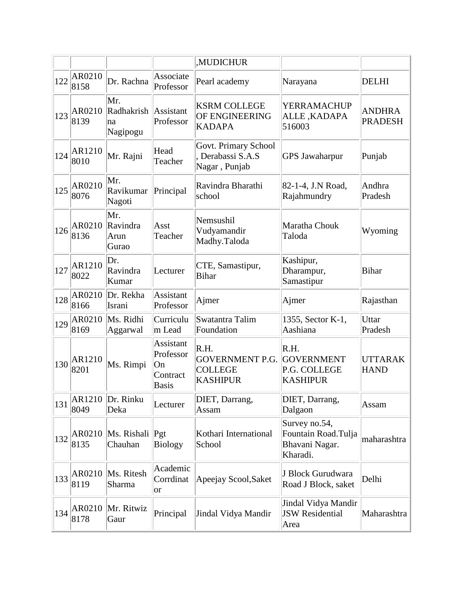|     |                                   |                                     |                                                          | <b>MUDICHUR</b>                                                     |                                                                    |                                 |
|-----|-----------------------------------|-------------------------------------|----------------------------------------------------------|---------------------------------------------------------------------|--------------------------------------------------------------------|---------------------------------|
| 122 | AR0210<br>8158                    | Dr. Rachna                          | Associate<br>Professor                                   | Pearl academy                                                       | Narayana                                                           | <b>DELHI</b>                    |
|     | $\frac{123}{221}$ AR0210<br>8139  | Mr.<br>Radhakrish<br>na<br>Nagipogu | Assistant<br>Professor                                   | <b>KSRM COLLEGE</b><br>OF ENGINEERING<br><b>KADAPA</b>              | YERRAMACHUP<br>ALLE, KADAPA<br>516003                              | <b>ANDHRA</b><br><b>PRADESH</b> |
| 124 | AR1210<br>8010                    | Mr. Rajni                           | Head<br>Teacher                                          | Govt. Primary School<br>Derabassi S.A.S<br>Nagar, Punjab            | <b>GPS Jawaharpur</b>                                              | Punjab                          |
| 125 | AR0210<br>8076                    | Mr.<br>Ravikumar<br>Nagoti          | Principal                                                | Ravindra Bharathi<br>school                                         | 82-1-4, J.N Road,<br>Rajahmundry                                   | Andhra<br>Pradesh               |
|     | $126$ $AR0210$<br>8136            | Mr.<br>Ravindra<br>Arun<br>Gurao    | Asst<br>Teacher                                          | Nemsushil<br>Vudyamandir<br>Madhy.Taloda                            | Maratha Chouk<br>Taloda                                            | Wyoming                         |
| 127 | AR1210<br>8022                    | Dr.<br>Ravindra<br>Kumar            | Lecturer                                                 | CTE, Samastipur,<br><b>Bihar</b>                                    | Kashipur,<br>Dharampur,<br>Samastipur                              | <b>Bihar</b>                    |
| 128 | AR0210<br>8166                    | Dr. Rekha<br>Israni                 | Assistant<br>Professor                                   | Ajmer                                                               | Ajmer                                                              | Rajasthan                       |
| 129 | AR0210<br>8169                    | Ms. Ridhi<br>Aggarwal               | Curriculu<br>m Lead                                      | Swatantra Talim<br>Foundation                                       | 1355, Sector K-1,<br>Aashiana                                      | Uttar<br>Pradesh                |
| 130 | AR1210<br>8201                    | Ms. Rimpi                           | Assistant<br>Professor<br>On<br>Contract<br><b>Basis</b> | R.H.<br><b>GOVERNMENT P.G.</b><br><b>COLLEGE</b><br><b>KASHIPUR</b> | R.H.<br><b>GOVERNMENT</b><br>P.G. COLLEGE<br><b>KASHIPUR</b>       | <b>UTTARAK</b><br><b>HAND</b>   |
| 131 | AR1210<br>8049                    | Dr. Rinku<br>Deka                   | Lecturer                                                 | DIET, Darrang,<br>Assam                                             | DIET, Darrang,<br>Dalgaon                                          | Assam                           |
|     | $\left 132\right $ AR0210<br>8135 | Ms. Rishali Pgt<br>Chauhan          | <b>Biology</b>                                           | Kothari International<br>School                                     | Survey no.54,<br>Fountain Road.Tulja<br>Bhavani Nagar.<br>Kharadi. | maharashtra                     |
| 133 | AR0210<br>8119                    | Ms. Ritesh<br>Sharma                | Academic<br>Corrdinat<br>or                              | Apeejay Scool, Saket                                                | J Block Gurudwara<br>Road J Block, saket                           | Delhi                           |
| 134 | AR0210<br>8178                    | Mr. Ritwiz<br>Gaur                  | Principal                                                | Jindal Vidya Mandir                                                 | Jindal Vidya Mandir<br><b>JSW</b> Residential<br>Area              | Maharashtra                     |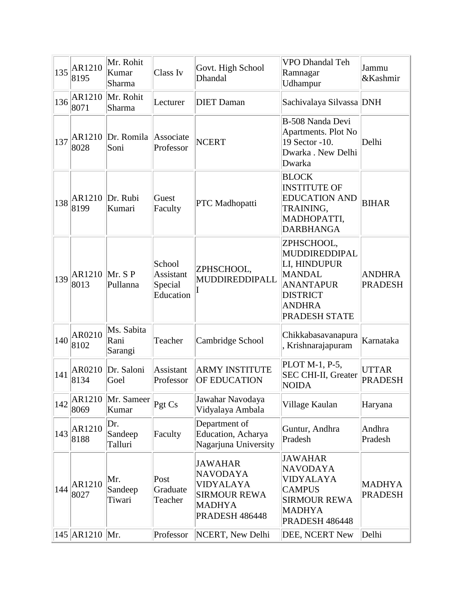| 135 | AR1210<br>8195 | Mr. Rohit<br>Kumar<br>Sharma  | Class Iv                                    | Govt. High School<br>Dhandal                                                                                    | VPO Dhandal Teh<br>Ramnagar<br>Udhampur                                                                                               | Jammu<br>&Kashmir               |
|-----|----------------|-------------------------------|---------------------------------------------|-----------------------------------------------------------------------------------------------------------------|---------------------------------------------------------------------------------------------------------------------------------------|---------------------------------|
| 136 | AR1210<br>8071 | Mr. Rohit<br>Sharma           | Lecturer                                    | <b>DIET</b> Daman                                                                                               | Sachivalaya Silvassa DNH                                                                                                              |                                 |
| 137 | AR1210<br>8028 | Dr. Romila<br>Soni            | Associate<br>Professor                      | <b>NCERT</b>                                                                                                    | B-508 Nanda Devi<br>Apartments. Plot No<br>19 Sector -10.<br>Dwarka . New Delhi<br>Dwarka                                             | Delhi                           |
| 138 | AR1210<br>8199 | Dr. Rubi<br>Kumari            | Guest<br>Faculty                            | PTC Madhopatti                                                                                                  | <b>BLOCK</b><br><b>INSTITUTE OF</b><br><b>EDUCATION AND</b><br>TRAINING,<br>MADHOPATTI,<br><b>DARBHANGA</b>                           | <b>BIHAR</b>                    |
| 139 | AR1210<br>8013 | Mr. S P<br>Pullanna           | School<br>Assistant<br>Special<br>Education | ZPHSCHOOL,<br>MUDDIREDDIPALL                                                                                    | ZPHSCHOOL,<br>MUDDIREDDIPAL<br>LI, HINDUPUR<br><b>MANDAL</b><br><b>ANANTAPUR</b><br><b>DISTRICT</b><br><b>ANDHRA</b><br>PRADESH STATE | <b>ANDHRA</b><br><b>PRADESH</b> |
| 140 | AR0210<br>8102 | Ms. Sabita<br>Rani<br>Sarangi | Teacher                                     | Cambridge School                                                                                                | Chikkabasavanapura<br>Krishnarajapuram                                                                                                | Karnataka                       |
| 141 | AR0210<br>8134 | Dr. Saloni<br>Goel            | Assistant<br>Professor                      | <b>ARMY INSTITUTE</b><br><b>OF EDUCATION</b>                                                                    | PLOT M-1, P-5,<br>SEC CHI-II, Greater<br><b>NOIDA</b>                                                                                 | <b>UTTAR</b><br><b>PRADESH</b>  |
| 142 | AR1210<br>8069 | Mr. Sameer Pgt Cs<br>Kumar    |                                             | Jawahar Navodaya<br>Vidyalaya Ambala                                                                            | Village Kaulan                                                                                                                        | Haryana                         |
| 143 | AR1210<br>8188 | Dr.<br>Sandeep<br>Talluri     | Faculty                                     | Department of<br>Education, Acharya<br>Nagarjuna University                                                     | Guntur, Andhra<br>Pradesh                                                                                                             | Andhra<br>Pradesh               |
| 144 | AR1210<br>8027 | Mr.<br>Sandeep<br>Tiwari      | Post<br>Graduate<br>Teacher                 | <b>JAWAHAR</b><br><b>NAVODAYA</b><br>VIDYALAYA<br><b>SIRMOUR REWA</b><br><b>MADHYA</b><br><b>PRADESH 486448</b> | <b>JAWAHAR</b><br><b>NAVODAYA</b><br>VIDYALAYA<br><b>CAMPUS</b><br><b>SIRMOUR REWA</b><br><b>MADHYA</b><br>PRADESH 486448             | <b>MADHYA</b><br><b>PRADESH</b> |
|     | 145 AR1210 Mr. |                               | Professor                                   | NCERT, New Delhi                                                                                                | DEE, NCERT New                                                                                                                        | Delhi                           |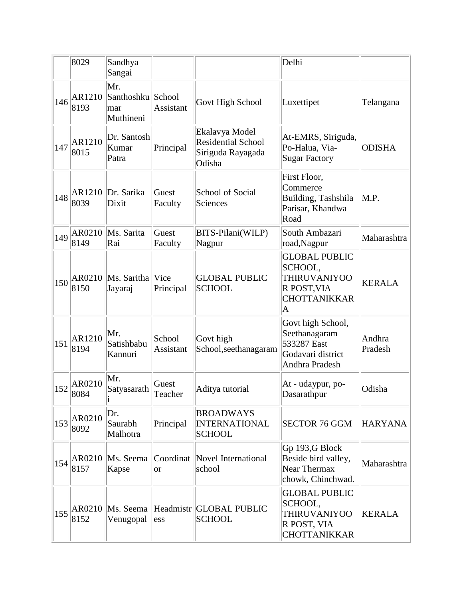|     | 8029                   | Sandhya<br>Sangai                            |                     |                                                                            | Delhi                                                                                                    |                   |
|-----|------------------------|----------------------------------------------|---------------------|----------------------------------------------------------------------------|----------------------------------------------------------------------------------------------------------|-------------------|
| 146 | AR1210<br>8193         | Mr.<br>Santhoshku School<br>mar<br>Muthineni | Assistant           | Govt High School                                                           | Luxettipet                                                                                               | Telangana         |
| 147 | AR1210<br>8015         | Dr. Santosh<br>Kumar<br>Patra                | Principal           | Ekalavya Model<br><b>Residential School</b><br>Siriguda Rayagada<br>Odisha | At-EMRS, Siriguda,<br>Po-Halua, Via-<br><b>Sugar Factory</b>                                             | <b>ODISHA</b>     |
| 148 | AR1210<br>8039         | Dr. Sarika<br>Dixit                          | Guest<br>Faculty    | <b>School of Social</b><br>Sciences                                        | First Floor,<br>Commerce<br>Building, Tashshila<br>Parisar, Khandwa<br>Road                              | M.P.              |
| 149 | AR0210<br>8149         | Ms. Sarita<br>Rai                            | Guest<br>Faculty    | BITS-Pilani(WILP)<br>Nagpur                                                | South Ambazari<br>road, Nagpur                                                                           | Maharashtra       |
| 150 | AR0210<br>8150         | Ms. Saritha Vice<br>Jayaraj                  | Principal           | <b>GLOBAL PUBLIC</b><br><b>SCHOOL</b>                                      | <b>GLOBAL PUBLIC</b><br>SCHOOL,<br><b>THIRUVANIYOO</b><br>R POST, VIA<br><b>CHOTTANIKKAR</b><br>$\bm{A}$ | <b>KERALA</b>     |
| 151 | AR1210<br>8194         | Mr.<br>Satishbabu<br>Kannuri                 | School<br>Assistant | Govt high<br>School, seethanagaram                                         | Govt high School,<br>Seethanagaram<br>533287 East<br>Godavari district<br>Andhra Pradesh                 | Andhra<br>Pradesh |
| 152 | AR0210<br>8084         | Mr.<br>Satyasarath                           | Guest<br>Teacher    | Aditya tutorial                                                            | At - udaypur, po-<br>Dasarathpur                                                                         | Odisha            |
| 153 | AR0210<br>8092         | Dr.<br>Saurabh<br>Malhotra                   | Principal           | <b>BROADWAYS</b><br><b>INTERNATIONAL</b><br><b>SCHOOL</b>                  | <b>SECTOR 76 GGM</b>                                                                                     | <b>HARYANA</b>    |
|     | $154$ $AR0210$<br>8157 | Ms. Seema<br>Kapse                           | Coordinat<br>or     | Novel International<br>school                                              | Gp 193,G Block<br>Beside bird valley,<br><b>Near Thermax</b><br>chowk, Chinchwad.                        | Maharashtra       |
| 155 | AR0210<br>8152         | Ms. Seema<br>Venugopal                       | ess                 | Headmistr GLOBAL PUBLIC<br><b>SCHOOL</b>                                   | <b>GLOBAL PUBLIC</b><br>SCHOOL,<br><b>THIRUVANIYOO</b><br>R POST, VIA<br><b>CHOTTANIKKAR</b>             | <b>KERALA</b>     |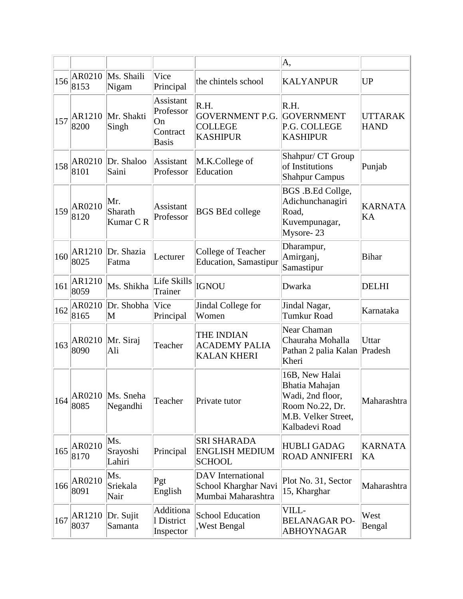|     |                |                                                |                                                                 |                                                                        | A,                                                                                                               |                               |
|-----|----------------|------------------------------------------------|-----------------------------------------------------------------|------------------------------------------------------------------------|------------------------------------------------------------------------------------------------------------------|-------------------------------|
| 156 | AR0210<br>8153 | Ms. Shaili<br>Nigam                            | Vice<br>Principal                                               | the chintels school                                                    | <b>KALYANPUR</b>                                                                                                 | <b>UP</b>                     |
| 157 | AR1210<br>8200 | Mr. Shakti<br>Singh                            | <b>Assistant</b><br>Professor<br>On<br>Contract<br><b>Basis</b> | R.H.<br><b>GOVERNMENT P.G.</b><br><b>COLLEGE</b><br><b>KASHIPUR</b>    | R.H.<br><b>GOVERNMENT</b><br>P.G. COLLEGE<br><b>KASHIPUR</b>                                                     | <b>UTTARAK</b><br><b>HAND</b> |
| 158 | AR0210<br>8101 | Dr. Shaloo<br>Saini                            | Assistant<br>Professor                                          | M.K.College of<br>Education                                            | Shahpur/ CT Group<br>of Institutions<br><b>Shahpur Campus</b>                                                    | Punjab                        |
| 159 | AR0210<br>8120 | Mr.<br>Sharath<br>Kumar CR                     | Assistant<br>Professor                                          | <b>BGS BEd college</b>                                                 | BGS .B.Ed Collge,<br>Adichunchanagiri<br>Road.<br>Kuvempunagar,<br>Mysore-23                                     | <b>KARNATA</b><br>KA          |
| 160 | AR1210<br>8025 | Dr. Shazia<br>Fatma                            | Lecturer                                                        | College of Teacher<br><b>Education, Samastipur</b>                     | Dharampur,<br>Amirganj,<br>Samastipur                                                                            | <b>Bihar</b>                  |
| 161 | AR1210<br>8059 | Ms. Shikha                                     | Life Skills<br>Trainer                                          | <b>IGNOU</b>                                                           | Dwarka                                                                                                           | <b>DELHI</b>                  |
| 162 | AR0210<br>8165 | Dr. Shobha<br>$\mathbf M$                      | Vice<br>Principal                                               | Jindal College for<br>Women                                            | Jindal Nagar,<br><b>Tumkur Road</b>                                                                              | Karnataka                     |
| 163 | AR0210<br>8090 | Mr. Siraj<br>Ali                               | Teacher                                                         | THE INDIAN<br><b>ACADEMY PALIA</b><br><b>KALAN KHERI</b>               | Near Chaman<br>Chauraha Mohalla<br>Pathan 2 palia Kalan Pradesh<br>Kheri                                         | Uttar                         |
|     | 8085           | $\vert 164 \vert$ AR0210 Ms. Sneha<br>Negandhi | Teacher                                                         | Private tutor                                                          | 16B, New Halai<br>Bhatia Mahajan<br>Wadi, 2nd floor,<br>Room No.22, Dr.<br>M.B. Velker Street,<br>Kalbadevi Road | Maharashtra                   |
| 165 | AR0210<br>8170 | Ms.<br>Srayoshi<br>Lahiri                      | Principal                                                       | <b>SRI SHARADA</b><br><b>ENGLISH MEDIUM</b><br><b>SCHOOL</b>           | <b>HUBLI GADAG</b><br><b>ROAD ANNIFERI</b>                                                                       | <b>KARNATA</b><br>KA          |
| 166 | AR0210<br>8091 | Ms.<br>Sriekala<br>Nair                        | Pgt<br>English                                                  | <b>DAV</b> International<br>School Kharghar Navi<br>Mumbai Maharashtra | Plot No. 31, Sector<br>15, Kharghar                                                                              | Maharashtra                   |
| 167 | AR1210<br>8037 | Dr. Sujit<br>Samanta                           | Additiona<br>1 District<br>Inspector                            | <b>School Education</b><br>West Bengal                                 | VILL-<br><b>BELANAGAR PO-</b><br><b>ABHOYNAGAR</b>                                                               | West<br>Bengal                |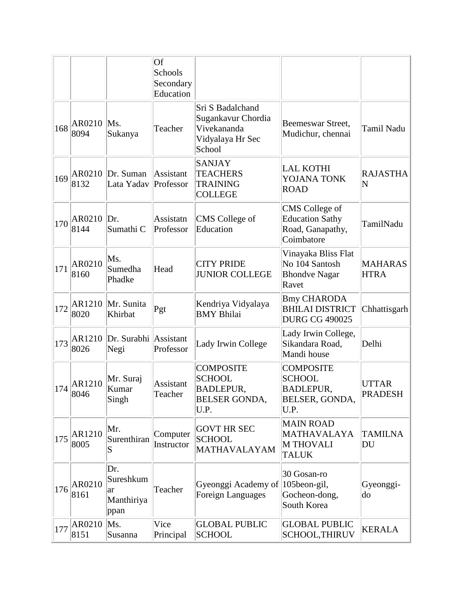|     |                        |                                               | Of<br>Schools<br>Secondary<br>Education |                                                                                       |                                                                                 |                                       |
|-----|------------------------|-----------------------------------------------|-----------------------------------------|---------------------------------------------------------------------------------------|---------------------------------------------------------------------------------|---------------------------------------|
| 168 | AR0210<br>8094         | Ms.<br>Sukanya                                | Teacher                                 | Sri S Badalchand<br>Sugankavur Chordia<br>Vivekananda<br>Vidyalaya Hr Sec<br>School   | Beemeswar Street,<br>Mudichur, chennai                                          | <b>Tamil Nadu</b>                     |
| 169 | AR0210<br>8132         | Dr. Suman<br>Lata Yadav                       | Assistant<br>Professor                  | <b>SANJAY</b><br><b>TEACHERS</b><br><b>TRAINING</b><br><b>COLLEGE</b>                 | <b>LAL KOTHI</b><br>YOJANA TONK<br><b>ROAD</b>                                  | <b>RAJASTHA</b><br>$\overline{\bf N}$ |
| 170 | AR0210<br>8144         | Dr.<br>Sumathi <sub>C</sub>                   | Assistatn<br>Professor                  | CMS College of<br>Education                                                           | CMS College of<br><b>Education Sathy</b><br>Road, Ganapathy,<br>Coimbatore      | TamilNadu                             |
| 171 | AR0210<br>8160         | Ms.<br>Sumedha<br>Phadke                      | Head                                    | <b>CITY PRIDE</b><br><b>JUNIOR COLLEGE</b>                                            | Vinayaka Bliss Flat<br>No 104 Santosh<br><b>Bhondve Nagar</b><br>Ravet          | <b>MAHARAS</b><br><b>HTRA</b>         |
| 172 | AR1210<br>8020         | Mr. Sunita<br>Khirbat                         | Pgt                                     | Kendriya Vidyalaya<br><b>BMY Bhilai</b>                                               | <b>Bmy CHARODA</b><br><b>BHILAI DISTRICT</b><br><b>DURG CG 490025</b>           | Chhattisgarh                          |
| 173 | AR1210<br>8026         | Dr. Surabhi Assistant<br>Negi                 | Professor                               | Lady Irwin College                                                                    | Lady Irwin College,<br>Sikandara Road,<br>Mandi house                           | Delhi                                 |
|     | AR1210<br>$ 174 $ 8046 | Mr. Suraj<br>Kumar<br>Singh                   | Assistant<br>Teacher                    | <b>COMPOSITE</b><br><b>SCHOOL</b><br><b>BADLEPUR,</b><br><b>BELSER GONDA,</b><br>U.P. | <b>COMPOSITE</b><br><b>SCHOOL</b><br><b>BADLEPUR,</b><br>BELSER, GONDA,<br>U.P. | UTTAR<br><b>PRADESH</b>               |
| 175 | AR1210<br>8005         | Mr.<br>Surenthiran<br>S                       | Computer<br>Instructor                  | <b>GOVT HR SEC</b><br><b>SCHOOL</b><br>MATHAVALAYAM                                   | <b>MAIN ROAD</b><br><b>MATHAVALAYA</b><br><b>M THOVALI</b><br><b>TALUK</b>      | <b>TAMILNA</b><br>DU                  |
| 176 | AR0210<br>8161         | Dr.<br>Sureshkum<br> ar<br>Manthiriya<br>ppan | Teacher                                 | Gyeonggi Academy of<br>Foreign Languages                                              | 30 Gosan-ro<br>105beon-gil,<br>Gocheon-dong,<br>South Korea                     | Gyeonggi-<br>do                       |
| 177 | AR0210<br>8151         | Ms.<br>Susanna                                | Vice<br>Principal                       | <b>GLOBAL PUBLIC</b><br><b>SCHOOL</b>                                                 | <b>GLOBAL PUBLIC</b><br><b>SCHOOL, THIRUV</b>                                   | <b>KERALA</b>                         |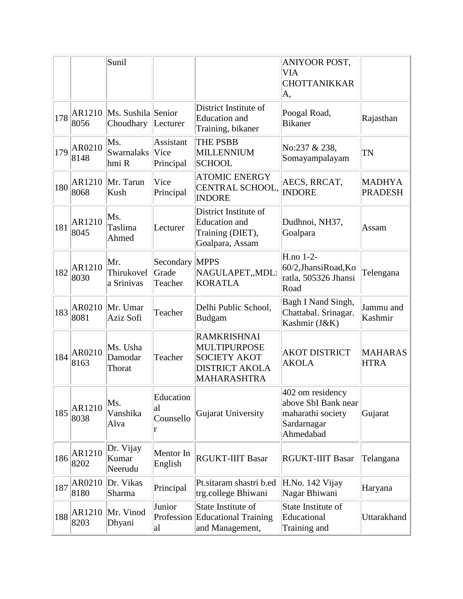|     |                | Sunil                                    |                                       |                                                                                                                 | ANIYOOR POST,<br><b>VIA</b><br><b>CHOTTANIKKAR</b><br>A,                                 |                                 |
|-----|----------------|------------------------------------------|---------------------------------------|-----------------------------------------------------------------------------------------------------------------|------------------------------------------------------------------------------------------|---------------------------------|
| 178 | 8056           | AR1210   Ms. Sushila Senior<br>Choudhary | Lecturer                              | District Institute of<br><b>Education</b> and<br>Training, bikaner                                              | Poogal Road,<br><b>Bikaner</b>                                                           | Rajasthan                       |
| 179 | AR0210<br>8148 | Ms.<br>Swarnalaks<br>hmi R               | Assistant<br><b>Vice</b><br>Principal | <b>THE PSBB</b><br>MILLENNIUM<br><b>SCHOOL</b>                                                                  | No:237 & 238,<br>Somayampalayam                                                          | <b>TN</b>                       |
| 180 | AR1210<br>8068 | Mr. Tarun<br>Kush                        | Vice<br>Principal                     | <b>ATOMIC ENERGY</b><br>CENTRAL SCHOOL,<br><b>INDORE</b>                                                        | AECS, RRCAT,<br><b>INDORE</b>                                                            | <b>MADHYA</b><br><b>PRADESH</b> |
| 181 | AR1210<br>8045 | Ms.<br>Taslima<br>Ahmed                  | Lecturer                              | District Institute of<br><b>Education</b> and<br>Training (DIET),<br>Goalpara, Assam                            | Dudhnoi, NH37,<br>Goalpara                                                               | Assam                           |
| 182 | AR1210<br>8030 | Mr.<br>Thirukovel<br>a Srinivas          | Secondary MPPS<br>Grade<br>Teacher    | NAGULAPET,, MDL:<br><b>KORATLA</b>                                                                              | H.no 1-2-<br>60/2, Jhansi Road, Ko<br>ratla, 505326 Jhansi<br>Road                       | Telengana                       |
| 183 | AR0210<br>8081 | Mr. Umar<br>Aziz Sofi                    | Teacher                               | Delhi Public School,<br>Budgam                                                                                  | Bagh I Nand Singh,<br>Chattabal. Srinagar.<br>Kashmir (J&K)                              | Jammu and<br>Kashmir            |
| 184 | AR0210<br>8163 | Ms. Usha<br>Damodar<br>Thorat            | Teacher                               | <b>RAMKRISHNAI</b><br><b>MULTIPURPOSE</b><br><b>SOCIETY AKOT</b><br><b>DISTRICT AKOLA</b><br><b>MAHARASHTRA</b> | <b>AKOT DISTRICT</b><br><b>AKOLA</b>                                                     | <b>MAHARAS</b><br><b>HTRA</b>   |
| 185 | AR1210<br>8038 | Ms.<br>Vanshika<br>Alva                  | Education<br>al<br>Counsello<br>r     | Gujarat University                                                                                              | 402 om residency<br>above SbI Bank near<br>maharathi society<br>Sardarnagar<br>Ahmedabad | Gujarat                         |
| 186 | AR1210<br>8202 | Dr. Vijay<br>Kumar<br>Neerudu            | Mentor In<br>English                  | <b>RGUKT-IIIT Basar</b>                                                                                         | <b>RGUKT-IIIT Basar</b>                                                                  | Telangana                       |
| 187 | AR0210<br>8180 | Dr. Vikas<br>Sharma                      | Principal                             | Pt.sitaram shastri b.ed<br>trg.college Bhiwani                                                                  | H.No. 142 Vijay<br>Nagar Bhiwani                                                         | Haryana                         |
| 188 | AR1210<br>8203 | Mr. Vinod<br>Dhyani                      | Junior<br>Profession<br>al            | State Institute of<br><b>Educational Training</b><br>and Management,                                            | State Institute of<br>Educational<br>Training and                                        | Uttarakhand                     |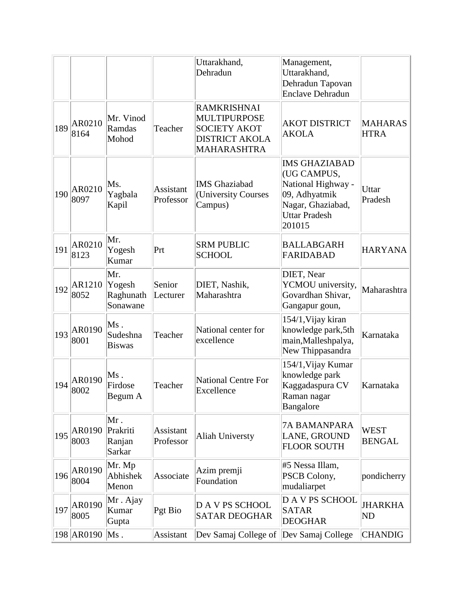|     |                |                                        |                        | Uttarakhand,<br>Dehradun                                                                                 | Management,<br>Uttarakhand,<br>Dehradun Tapovan<br><b>Enclave Dehradun</b>                                                        |                               |
|-----|----------------|----------------------------------------|------------------------|----------------------------------------------------------------------------------------------------------|-----------------------------------------------------------------------------------------------------------------------------------|-------------------------------|
| 189 | AR0210<br>8164 | Mr. Vinod<br>Ramdas<br>Mohod           | Teacher                | RAMKRISHNAI<br><b>MULTIPURPOSE</b><br><b>SOCIETY AKOT</b><br><b>DISTRICT AKOLA</b><br><b>MAHARASHTRA</b> | <b>AKOT DISTRICT</b><br><b>AKOLA</b>                                                                                              | <b>MAHARAS</b><br><b>HTRA</b> |
| 190 | AR0210<br>8097 | Ms.<br>Yagbala<br>Kapil                | Assistant<br>Professor | <b>IMS</b> Ghaziabad<br>(University Courses<br>Campus)                                                   | <b>IMS GHAZIABAD</b><br>(UG CAMPUS,<br>National Highway -<br>09, Adhyatmik<br>Nagar, Ghaziabad,<br><b>Uttar Pradesh</b><br>201015 | Uttar<br>Pradesh              |
| 191 | AR0210<br>8123 | Mr.<br>Yogesh<br>Kumar                 | Prt                    | <b>SRM PUBLIC</b><br><b>SCHOOL</b>                                                                       | <b>BALLABGARH</b><br><b>FARIDABAD</b>                                                                                             | <b>HARYANA</b>                |
| 192 | AR1210<br>8052 | Mr.<br>Yogesh<br>Raghunath<br>Sonawane | Senior<br>Lecturer     | DIET, Nashik,<br>Maharashtra                                                                             | DIET, Near<br>YCMOU university,<br>Govardhan Shivar,<br>Gangapur goun,                                                            | Maharashtra                   |
| 193 | AR0190<br>8001 | Ms.<br>Sudeshna<br><b>Biswas</b>       | Teacher                | National center for<br>excellence                                                                        | 154/1, Vijay kiran<br>knowledge park,5th<br>main, Malleshpalya,<br>New Thippasandra                                               | Karnataka                     |
| 194 | AR0190<br>8002 | Ms.<br>Firdose<br>Begum A              | Teacher                | <b>National Centre For</b><br>Excellence                                                                 | 154/1, Vijay Kumar<br>knowledge park<br>Kaggadaspura CV<br>Raman nagar<br>Bangalore                                               | Karnataka                     |
| 195 | AR0190<br>8003 | Mr.<br>Prakriti<br>Ranjan<br>Sarkar    | Assistant<br>Professor | <b>Aliah Universty</b>                                                                                   | <b>7A BAMANPARA</b><br>LANE, GROUND<br><b>FLOOR SOUTH</b>                                                                         | <b>WEST</b><br><b>BENGAL</b>  |
| 196 | AR0190<br>8004 | Mr. Mp<br>Abhishek<br>Menon            | Associate              | Azim premji<br>Foundation                                                                                | #5 Nessa Illam,<br>PSCB Colony,<br>mudaliarpet                                                                                    | pondicherry                   |
| 197 | AR0190<br>8005 | Mr. Ajay<br>Kumar<br>Gupta             | Pgt Bio                | <b>DAVPS SCHOOL</b><br><b>SATAR DEOGHAR</b>                                                              | <b>DAVPS SCHOOL</b><br><b>SATAR</b><br><b>DEOGHAR</b>                                                                             | <b>JHARKHA</b><br><b>ND</b>   |
|     | 198 AR0190     | $Ms$ .                                 | Assistant              | Dev Samaj College of                                                                                     | Dev Samaj College                                                                                                                 | <b>CHANDIG</b>                |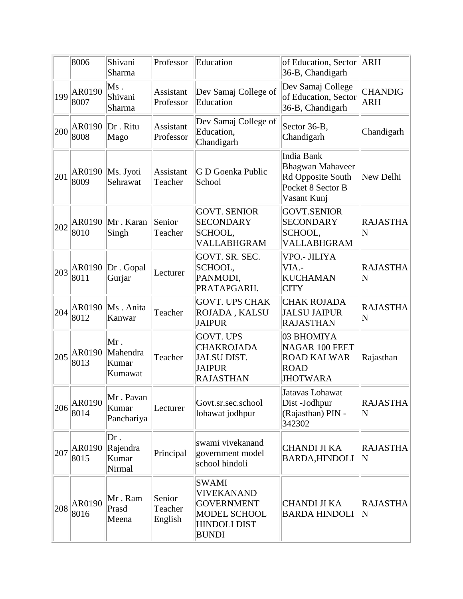|     | 8006                   | Shivani<br>Sharma                     | Professor                    | Education                                                                                                            | of Education, Sector<br>36-B, Chandigarh                                                              | ARH                                        |
|-----|------------------------|---------------------------------------|------------------------------|----------------------------------------------------------------------------------------------------------------------|-------------------------------------------------------------------------------------------------------|--------------------------------------------|
| 199 | AR0190<br>8007         | Ms.<br>Shivani<br>Sharma              | Assistant<br>Professor       | Dev Samaj College of<br>Education                                                                                    | Dev Samaj College<br>of Education, Sector<br>36-B, Chandigarh                                         | <b>CHANDIG</b><br><b>ARH</b>               |
| 200 | AR0190<br>8008         | Dr. Ritu<br>Mago                      | Assistant<br>Professor       | Dev Samaj College of<br>Education,<br>Chandigarh                                                                     | Sector 36-B,<br>Chandigarh                                                                            | Chandigarh                                 |
| 201 | AR0190<br>8009         | Ms. Jyoti<br>Sehrawat                 | Assistant<br>Teacher         | G D Goenka Public<br>School                                                                                          | <b>India Bank</b><br><b>Bhagwan Mahaveer</b><br>Rd Opposite South<br>Pocket 8 Sector B<br>Vasant Kunj | New Delhi                                  |
| 202 | AR0190<br>8010         | Mr. Karan<br>Singh                    | Senior<br>Teacher            | <b>GOVT. SENIOR</b><br><b>SECONDARY</b><br>SCHOOL,<br>VALLABHGRAM                                                    | <b>GOVT.SENIOR</b><br><b>SECONDARY</b><br>SCHOOL,<br>VALLABHGRAM                                      | <b>RAJASTHA</b><br>$\overline{\mathsf{N}}$ |
| 203 | AR0190<br>8011         | Dr. Gopal<br>Gurjar                   | Lecturer                     | GOVT. SR. SEC.<br>SCHOOL,<br>PANMODI,<br>PRATAPGARH.                                                                 | <b>VPO.- JILIYA</b><br>VIA.-<br><b>KUCHAMAN</b><br><b>CITY</b>                                        | <b>RAJASTHA</b><br>N                       |
| 204 | AR0190<br>8012         | Ms. Anita<br>Kanwar                   | Teacher                      | <b>GOVT. UPS CHAK</b><br>ROJADA, KALSU<br><b>JAIPUR</b>                                                              | <b>CHAK ROJADA</b><br><b>JALSU JAIPUR</b><br><b>RAJASTHAN</b>                                         | <b>RAJASTHA</b><br>N                       |
| 205 | AR0190<br>8013         | Mr.<br>Mahendra<br>Kumar<br>Kumawat   | Teacher                      | <b>GOVT. UPS</b><br><b>CHAKROJADA</b><br><b>JALSU DIST.</b><br><b>JAIPUR</b><br><b>RAJASTHAN</b>                     | 03 BHOMIYA<br>NAGAR 100 FEET<br><b>ROAD KALWAR</b><br><b>ROAD</b><br><b>JHOTWARA</b>                  | Rajasthan                                  |
| 206 | AR0190<br>8014         | Mr. Pavan<br>Kumar<br>Panchariya      | Lecturer                     | Govt.sr.sec.school<br>lohawat jodhpur                                                                                | Jatavas Lohawat<br>Dist-Jodhpur<br>(Rajasthan) PIN -<br>342302                                        | <b>RAJASTHA</b><br>N                       |
| 207 | AR0190<br>8015         | $Dr$ .<br>Rajendra<br>Kumar<br>Nirmal | Principal                    | swami vivekanand<br>government model<br>school hindoli                                                               | <b>CHANDI JI KA</b><br><b>BARDA, HINDOLI</b>                                                          | <b>RAJASTHA</b><br>N                       |
|     | $ 208 $ AR0190<br>8016 | Mr. Ram<br>Prasd<br>Meena             | Senior<br>Teacher<br>English | <b>SWAMI</b><br><b>VIVEKANAND</b><br><b>GOVERNMENT</b><br><b>MODEL SCHOOL</b><br><b>HINDOLI DIST</b><br><b>BUNDI</b> | <b>CHANDI JI KA</b><br><b>BARDA HINDOLI</b>                                                           | <b>RAJASTHA</b><br>$\overline{\rm N}$      |